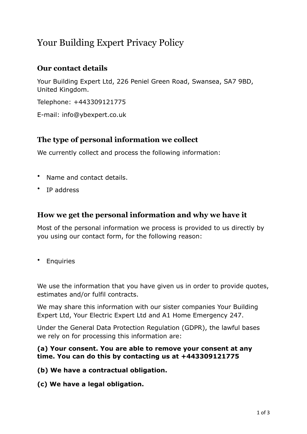# Your Building Expert Privacy Policy

## **Our contact details**

Your Building Expert Ltd, 226 Peniel Green Road, Swansea, SA7 9BD, United Kingdom.

Telephone: +443309121775

E-mail: info@ybexpert.co.uk

## **The type of personal information we collect**

We currently collect and process the following information:

- Name and contact details.
- IP address

## **How we get the personal information and why we have it**

Most of the personal information we process is provided to us directly by you using our contact form, for the following reason:

• Enquiries

We use the information that you have given us in order to provide quotes, estimates and/or fulfil contracts.

We may share this information with our sister companies Your Building Expert Ltd, Your Electric Expert Ltd and A1 Home Emergency 247.

Under the General Data Protection Regulation (GDPR), the lawful bases we rely on for processing this information are:

#### **(a) Your consent. You are able to remove your consent at any time. You can do this by contacting us at +443309121775**

**(b) We have a contractual obligation.**

**(c) We have a legal obligation.**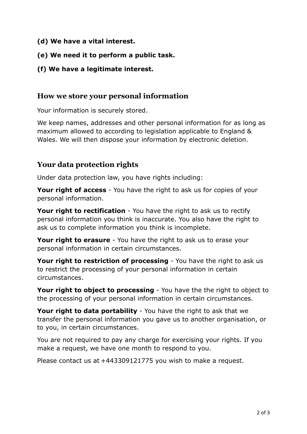- **(d) We have a vital interest.**
- **(e) We need it to perform a public task.**
- **(f) We have a legitimate interest.**

### **How we store your personal information**

Your information is securely stored.

We keep names, addresses and other personal information for as long as maximum allowed to according to legislation applicable to England & Wales. We will then dispose your information by electronic deletion.

## **Your data protection rights**

Under data protection law, you have rights including:

**Your right of access** - You have the right to ask us for copies of your personal information.

**Your right to rectification** - You have the right to ask us to rectify personal information you think is inaccurate. You also have the right to ask us to complete information you think is incomplete.

**Your right to erasure** - You have the right to ask us to erase your personal information in certain circumstances.

**Your right to restriction of processing** - You have the right to ask us to restrict the processing of your personal information in certain circumstances.

**Your right to object to processing** - You have the the right to object to the processing of your personal information in certain circumstances.

**Your right to data portability** - You have the right to ask that we transfer the personal information you gave us to another organisation, or to you, in certain circumstances.

You are not required to pay any charge for exercising your rights. If you make a request, we have one month to respond to you.

Please contact us at +443309121775 you wish to make a request.